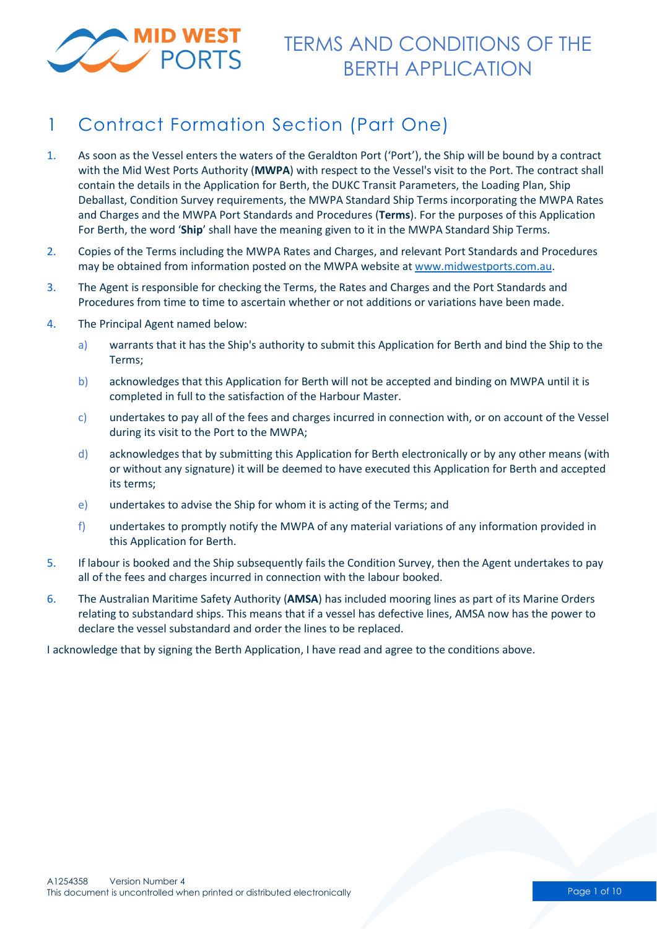

# 1 Contract Formation Section (Part One)

- 1. As soon as the Vessel enters the waters of the Geraldton Port ('Port'), the Ship will be bound by a contract with the Mid West Ports Authority (**MWPA**) with respect to the Vessel's visit to the Port. The contract shall contain the details in the Application for Berth, the DUKC Transit Parameters, the Loading Plan, Ship Deballast, Condition Survey requirements, the MWPA Standard Ship Terms incorporating the MWPA Rates and Charges and the MWPA Port Standards and Procedures (**Terms**). For the purposes of this Application For Berth, the word '**Ship**' shall have the meaning given to it in the MWPA Standard Ship Terms.
- 2. Copies of the Terms including the MWPA Rates and Charges, and relevant Port Standards and Procedures may be obtained from information posted on the MWPA website at [www.midwestports.com.au.](http://www.midwestports.com.au/)
- 3. The Agent is responsible for checking the Terms, the Rates and Charges and the Port Standards and Procedures from time to time to ascertain whether or not additions or variations have been made.
- 4. The Principal Agent named below:
	- a) warrants that it has the Ship's authority to submit this Application for Berth and bind the Ship to the Terms;
	- b) acknowledges that this Application for Berth will not be accepted and binding on MWPA until it is completed in full to the satisfaction of the Harbour Master.
	- c) undertakes to pay all of the fees and charges incurred in connection with, or on account of the Vessel during its visit to the Port to the MWPA;
	- d) acknowledges that by submitting this Application for Berth electronically or by any other means (with or without any signature) it will be deemed to have executed this Application for Berth and accepted its terms;
	- e) undertakes to advise the Ship for whom it is acting of the Terms; and
	- f) undertakes to promptly notify the MWPA of any material variations of any information provided in this Application for Berth.
- 5. If labour is booked and the Ship subsequently fails the Condition Survey, then the Agent undertakes to pay all of the fees and charges incurred in connection with the labour booked.
- 6. The Australian Maritime Safety Authority (**AMSA**) has included mooring lines as part of its Marine Orders relating to substandard ships. This means that if a vessel has defective lines, AMSA now has the power to declare the vessel substandard and order the lines to be replaced.

I acknowledge that by signing the Berth Application, I have read and agree to the conditions above.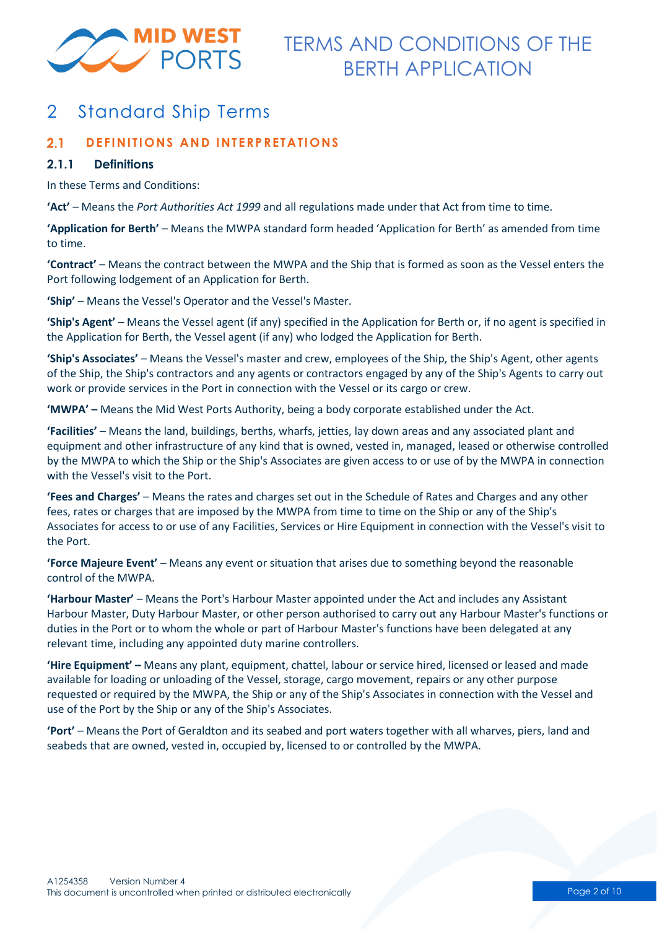

# 2 Standard Ship Terms

#### $2.1$ **DEFINITIONS AND INTERPRETATIONS**

### **2.1.1 Definitions**

In these Terms and Conditions:

**'Act'** – Means the *Port Authorities Act 1999* and all regulations made under that Act from time to time.

**'Application for Berth'** – Means the MWPA standard form headed 'Application for Berth' as amended from time to time.

**'Contract'** – Means the contract between the MWPA and the Ship that is formed as soon as the Vessel enters the Port following lodgement of an Application for Berth.

**'Ship'** – Means the Vessel's Operator and the Vessel's Master.

**'Ship's Agent'** – Means the Vessel agent (if any) specified in the Application for Berth or, if no agent is specified in the Application for Berth, the Vessel agent (if any) who lodged the Application for Berth.

**'Ship's Associates'** – Means the Vessel's master and crew, employees of the Ship, the Ship's Agent, other agents of the Ship, the Ship's contractors and any agents or contractors engaged by any of the Ship's Agents to carry out work or provide services in the Port in connection with the Vessel or its cargo or crew.

**'MWPA' –** Means the Mid West Ports Authority, being a body corporate established under the Act.

**'Facilities'** – Means the land, buildings, berths, wharfs, jetties, lay down areas and any associated plant and equipment and other infrastructure of any kind that is owned, vested in, managed, leased or otherwise controlled by the MWPA to which the Ship or the Ship's Associates are given access to or use of by the MWPA in connection with the Vessel's visit to the Port.

**'Fees and Charges'** – Means the rates and charges set out in the Schedule of Rates and Charges and any other fees, rates or charges that are imposed by the MWPA from time to time on the Ship or any of the Ship's Associates for access to or use of any Facilities, Services or Hire Equipment in connection with the Vessel's visit to the Port.

**'Force Majeure Event'** – Means any event or situation that arises due to something beyond the reasonable control of the MWPA.

**'Harbour Master'** – Means the Port's Harbour Master appointed under the Act and includes any Assistant Harbour Master, Duty Harbour Master, or other person authorised to carry out any Harbour Master's functions or duties in the Port or to whom the whole or part of Harbour Master's functions have been delegated at any relevant time, including any appointed duty marine controllers.

**'Hire Equipment' –** Means any plant, equipment, chattel, labour or service hired, licensed or leased and made available for loading or unloading of the Vessel, storage, cargo movement, repairs or any other purpose requested or required by the MWPA, the Ship or any of the Ship's Associates in connection with the Vessel and use of the Port by the Ship or any of the Ship's Associates.

**'Port'** – Means the Port of Geraldton and its seabed and port waters together with all wharves, piers, land and seabeds that are owned, vested in, occupied by, licensed to or controlled by the MWPA.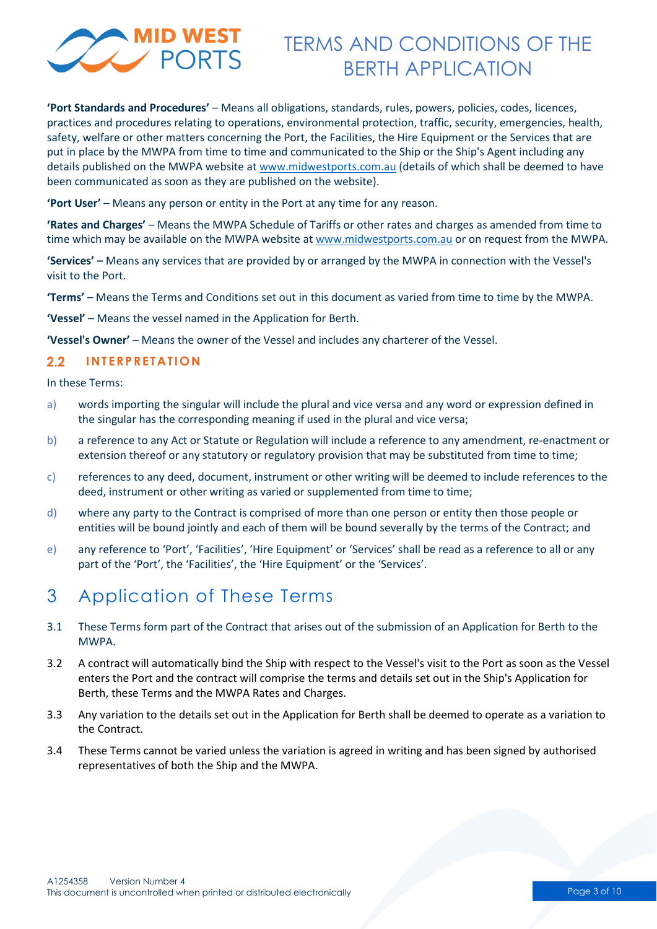

**'Port Standards and Procedures'** – Means all obligations, standards, rules, powers, policies, codes, licences, practices and procedures relating to operations, environmental protection, traffic, security, emergencies, health, safety, welfare or other matters concerning the Port, the Facilities, the Hire Equipment or the Services that are put in place by the MWPA from time to time and communicated to the Ship or the Ship's Agent including any details published on the MWPA website at [www.midwestports.com.au](http://www.midwestports.com.au/) (details of which shall be deemed to have been communicated as soon as they are published on the website).

**'Port User'** – Means any person or entity in the Port at any time for any reason.

**'Rates and Charges'** – Means the MWPA Schedule of Tariffs or other rates and charges as amended from time to time which may be available on the MWPA website at [www.midwestports.com.au](http://www.midwestports.com.au/) or on request from the MWPA.

**'Services' –** Means any services that are provided by or arranged by the MWPA in connection with the Vessel's visit to the Port.

**'Terms'** – Means the Terms and Conditions set out in this document as varied from time to time by the MWPA.

**'Vessel'** – Means the vessel named in the Application for Berth.

**'Vessel's Owner'** – Means the owner of the Vessel and includes any charterer of the Vessel.

#### $2.2$ **INTERPRETATION**

In these Terms:

- a) words importing the singular will include the plural and vice versa and any word or expression defined in the singular has the corresponding meaning if used in the plural and vice versa;
- b) a reference to any Act or Statute or Regulation will include a reference to any amendment, re-enactment or extension thereof or any statutory or regulatory provision that may be substituted from time to time;
- c) references to any deed, document, instrument or other writing will be deemed to include references to the deed, instrument or other writing as varied or supplemented from time to time;
- d) where any party to the Contract is comprised of more than one person or entity then those people or entities will be bound jointly and each of them will be bound severally by the terms of the Contract; and
- e) any reference to 'Port', 'Facilities', 'Hire Equipment' or 'Services' shall be read as a reference to all or any part of the 'Port', the 'Facilities', the 'Hire Equipment' or the 'Services'.

## 3 Application of These Terms

- 3.1 These Terms form part of the Contract that arises out of the submission of an Application for Berth to the MWPA.
- 3.2 A contract will automatically bind the Ship with respect to the Vessel's visit to the Port as soon as the Vessel enters the Port and the contract will comprise the terms and details set out in the Ship's Application for Berth, these Terms and the MWPA Rates and Charges.
- 3.3 Any variation to the details set out in the Application for Berth shall be deemed to operate as a variation to the Contract.
- 3.4 These Terms cannot be varied unless the variation is agreed in writing and has been signed by authorised representatives of both the Ship and the MWPA.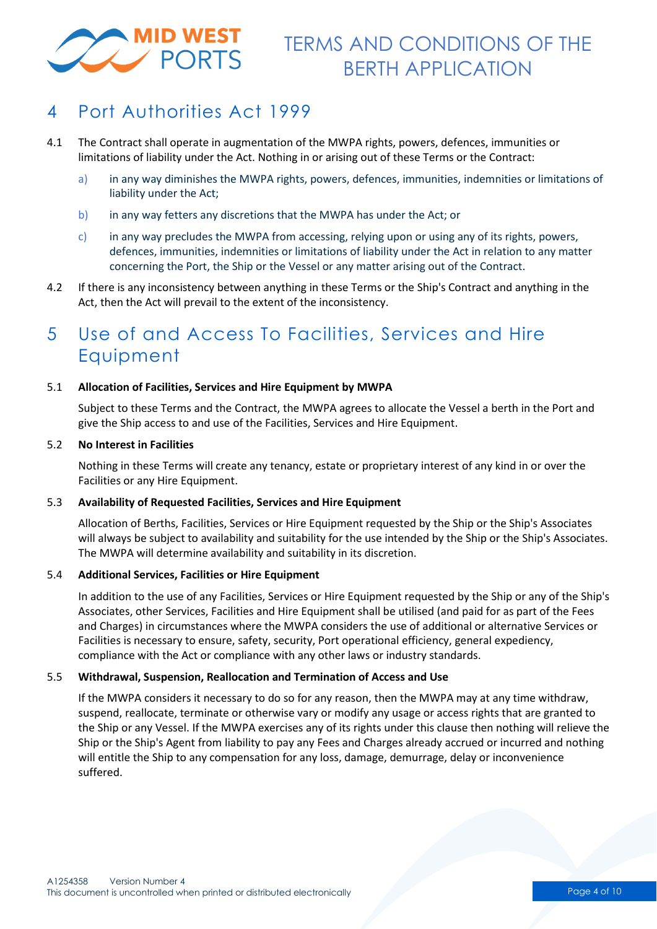

### 4 Port Authorities Act 1999

- 4.1 The Contract shall operate in augmentation of the MWPA rights, powers, defences, immunities or limitations of liability under the Act. Nothing in or arising out of these Terms or the Contract:
	- a) in any way diminishes the MWPA rights, powers, defences, immunities, indemnities or limitations of liability under the Act;
	- b) in any way fetters any discretions that the MWPA has under the Act; or
	- c) in any way precludes the MWPA from accessing, relying upon or using any of its rights, powers, defences, immunities, indemnities or limitations of liability under the Act in relation to any matter concerning the Port, the Ship or the Vessel or any matter arising out of the Contract.
- 4.2 If there is any inconsistency between anything in these Terms or the Ship's Contract and anything in the Act, then the Act will prevail to the extent of the inconsistency.

### 5 Use of and Access To Facilities, Services and Hire Equipment

### 5.1 **Allocation of Facilities, Services and Hire Equipment by MWPA**

Subject to these Terms and the Contract, the MWPA agrees to allocate the Vessel a berth in the Port and give the Ship access to and use of the Facilities, Services and Hire Equipment.

### 5.2 **No Interest in Facilities**

Nothing in these Terms will create any tenancy, estate or proprietary interest of any kind in or over the Facilities or any Hire Equipment.

### 5.3 **Availability of Requested Facilities, Services and Hire Equipment**

Allocation of Berths, Facilities, Services or Hire Equipment requested by the Ship or the Ship's Associates will always be subject to availability and suitability for the use intended by the Ship or the Ship's Associates. The MWPA will determine availability and suitability in its discretion.

### 5.4 **Additional Services, Facilities or Hire Equipment**

In addition to the use of any Facilities, Services or Hire Equipment requested by the Ship or any of the Ship's Associates, other Services, Facilities and Hire Equipment shall be utilised (and paid for as part of the Fees and Charges) in circumstances where the MWPA considers the use of additional or alternative Services or Facilities is necessary to ensure, safety, security, Port operational efficiency, general expediency, compliance with the Act or compliance with any other laws or industry standards.

### 5.5 **Withdrawal, Suspension, Reallocation and Termination of Access and Use**

If the MWPA considers it necessary to do so for any reason, then the MWPA may at any time withdraw, suspend, reallocate, terminate or otherwise vary or modify any usage or access rights that are granted to the Ship or any Vessel. If the MWPA exercises any of its rights under this clause then nothing will relieve the Ship or the Ship's Agent from liability to pay any Fees and Charges already accrued or incurred and nothing will entitle the Ship to any compensation for any loss, damage, demurrage, delay or inconvenience suffered.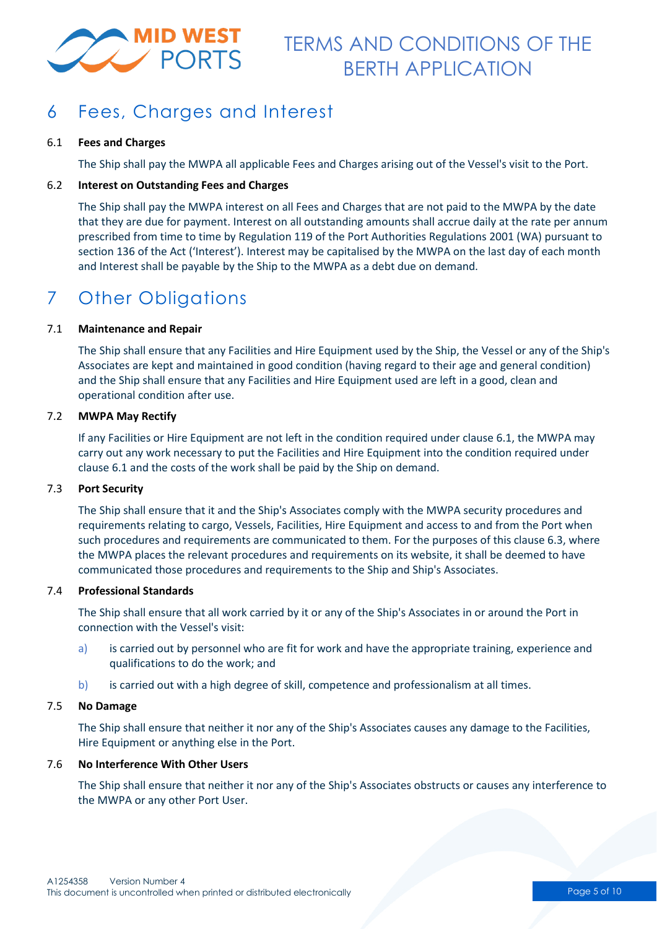

# 6 Fees, Charges and Interest

### 6.1 **Fees and Charges**

The Ship shall pay the MWPA all applicable Fees and Charges arising out of the Vessel's visit to the Port.

### 6.2 **Interest on Outstanding Fees and Charges**

The Ship shall pay the MWPA interest on all Fees and Charges that are not paid to the MWPA by the date that they are due for payment. Interest on all outstanding amounts shall accrue daily at the rate per annum prescribed from time to time by Regulation 119 of the Port Authorities Regulations 2001 (WA) pursuant to section 136 of the Act ('Interest'). Interest may be capitalised by the MWPA on the last day of each month and Interest shall be payable by the Ship to the MWPA as a debt due on demand.

# 7 Other Obligations

### 7.1 **Maintenance and Repair**

The Ship shall ensure that any Facilities and Hire Equipment used by the Ship, the Vessel or any of the Ship's Associates are kept and maintained in good condition (having regard to their age and general condition) and the Ship shall ensure that any Facilities and Hire Equipment used are left in a good, clean and operational condition after use.

### 7.2 **MWPA May Rectify**

If any Facilities or Hire Equipment are not left in the condition required under clause 6.1, the MWPA may carry out any work necessary to put the Facilities and Hire Equipment into the condition required under clause 6.1 and the costs of the work shall be paid by the Ship on demand.

### 7.3 **Port Security**

The Ship shall ensure that it and the Ship's Associates comply with the MWPA security procedures and requirements relating to cargo, Vessels, Facilities, Hire Equipment and access to and from the Port when such procedures and requirements are communicated to them. For the purposes of this clause 6.3, where the MWPA places the relevant procedures and requirements on its website, it shall be deemed to have communicated those procedures and requirements to the Ship and Ship's Associates.

### 7.4 **Professional Standards**

The Ship shall ensure that all work carried by it or any of the Ship's Associates in or around the Port in connection with the Vessel's visit:

- a) is carried out by personnel who are fit for work and have the appropriate training, experience and qualifications to do the work; and
- b) is carried out with a high degree of skill, competence and professionalism at all times.

### 7.5 **No Damage**

The Ship shall ensure that neither it nor any of the Ship's Associates causes any damage to the Facilities, Hire Equipment or anything else in the Port.

### 7.6 **No Interference With Other Users**

The Ship shall ensure that neither it nor any of the Ship's Associates obstructs or causes any interference to the MWPA or any other Port User.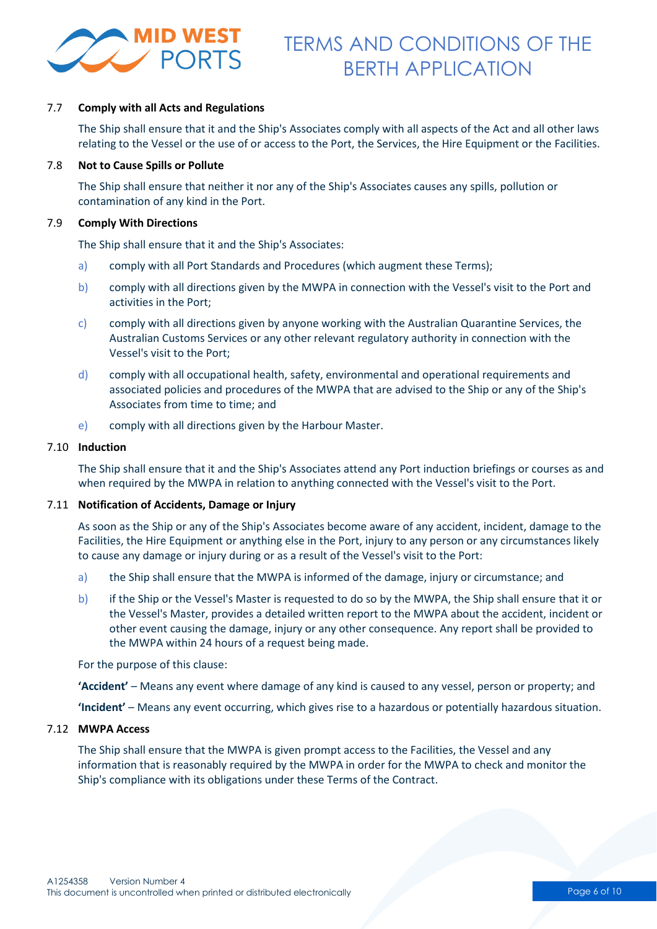

### 7.7 **Comply with all Acts and Regulations**

The Ship shall ensure that it and the Ship's Associates comply with all aspects of the Act and all other laws relating to the Vessel or the use of or access to the Port, the Services, the Hire Equipment or the Facilities.

#### 7.8 **Not to Cause Spills or Pollute**

The Ship shall ensure that neither it nor any of the Ship's Associates causes any spills, pollution or contamination of any kind in the Port.

### 7.9 **Comply With Directions**

The Ship shall ensure that it and the Ship's Associates:

- a) comply with all Port Standards and Procedures (which augment these Terms);
- b) comply with all directions given by the MWPA in connection with the Vessel's visit to the Port and activities in the Port;
- c) comply with all directions given by anyone working with the Australian Quarantine Services, the Australian Customs Services or any other relevant regulatory authority in connection with the Vessel's visit to the Port;
- d) comply with all occupational health, safety, environmental and operational requirements and associated policies and procedures of the MWPA that are advised to the Ship or any of the Ship's Associates from time to time; and
- e) comply with all directions given by the Harbour Master.

#### 7.10 **Induction**

The Ship shall ensure that it and the Ship's Associates attend any Port induction briefings or courses as and when required by the MWPA in relation to anything connected with the Vessel's visit to the Port.

### 7.11 **Notification of Accidents, Damage or Injury**

As soon as the Ship or any of the Ship's Associates become aware of any accident, incident, damage to the Facilities, the Hire Equipment or anything else in the Port, injury to any person or any circumstances likely to cause any damage or injury during or as a result of the Vessel's visit to the Port:

- a) the Ship shall ensure that the MWPA is informed of the damage, injury or circumstance; and
- b) if the Ship or the Vessel's Master is requested to do so by the MWPA, the Ship shall ensure that it or the Vessel's Master, provides a detailed written report to the MWPA about the accident, incident or other event causing the damage, injury or any other consequence. Any report shall be provided to the MWPA within 24 hours of a request being made.

For the purpose of this clause:

**'Accident'** – Means any event where damage of any kind is caused to any vessel, person or property; and

**'Incident'** – Means any event occurring, which gives rise to a hazardous or potentially hazardous situation.

#### 7.12 **MWPA Access**

The Ship shall ensure that the MWPA is given prompt access to the Facilities, the Vessel and any information that is reasonably required by the MWPA in order for the MWPA to check and monitor the Ship's compliance with its obligations under these Terms of the Contract.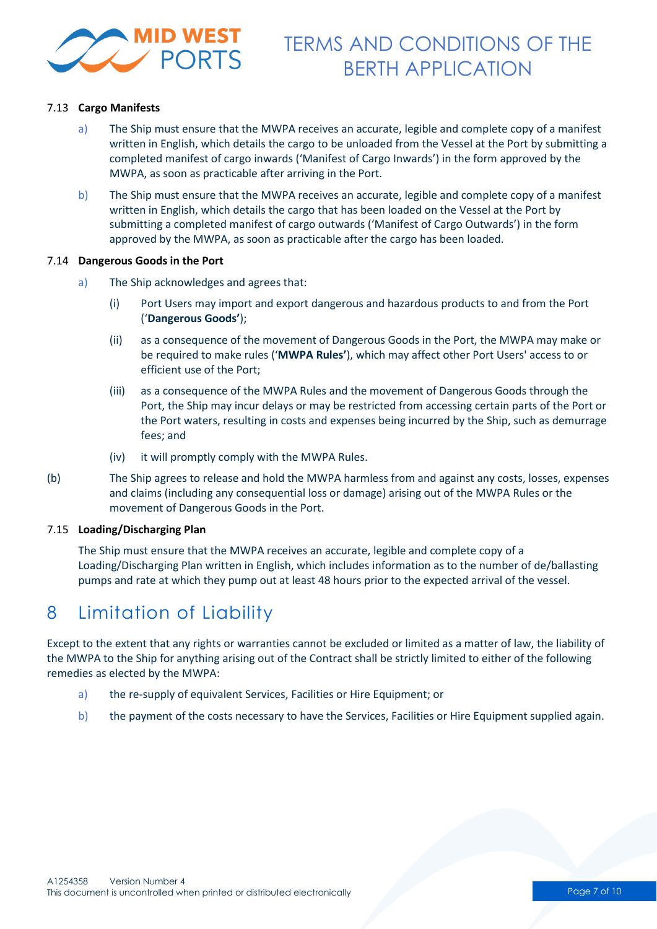

### 7.13 **Cargo Manifests**

- a) The Ship must ensure that the MWPA receives an accurate, legible and complete copy of a manifest written in English, which details the cargo to be unloaded from the Vessel at the Port by submitting a completed manifest of cargo inwards ('Manifest of Cargo Inwards') in the form approved by the MWPA, as soon as practicable after arriving in the Port.
- b) The Ship must ensure that the MWPA receives an accurate, legible and complete copy of a manifest written in English, which details the cargo that has been loaded on the Vessel at the Port by submitting a completed manifest of cargo outwards ('Manifest of Cargo Outwards') in the form approved by the MWPA, as soon as practicable after the cargo has been loaded.

#### 7.14 **Dangerous Goods in the Port**

- a) The Ship acknowledges and agrees that:
	- (i) Port Users may import and export dangerous and hazardous products to and from the Port ('**Dangerous Goods'**);
	- (ii) as a consequence of the movement of Dangerous Goods in the Port, the MWPA may make or be required to make rules ('**MWPA Rules'**), which may affect other Port Users' access to or efficient use of the Port;
	- (iii) as a consequence of the MWPA Rules and the movement of Dangerous Goods through the Port, the Ship may incur delays or may be restricted from accessing certain parts of the Port or the Port waters, resulting in costs and expenses being incurred by the Ship, such as demurrage fees; and
	- (iv) it will promptly comply with the MWPA Rules.
- (b) The Ship agrees to release and hold the MWPA harmless from and against any costs, losses, expenses and claims (including any consequential loss or damage) arising out of the MWPA Rules or the movement of Dangerous Goods in the Port.

#### 7.15 **Loading/Discharging Plan**

The Ship must ensure that the MWPA receives an accurate, legible and complete copy of a Loading/Discharging Plan written in English, which includes information as to the number of de/ballasting pumps and rate at which they pump out at least 48 hours prior to the expected arrival of the vessel.

## 8 Limitation of Liability

Except to the extent that any rights or warranties cannot be excluded or limited as a matter of law, the liability of the MWPA to the Ship for anything arising out of the Contract shall be strictly limited to either of the following remedies as elected by the MWPA:

- a) the re-supply of equivalent Services, Facilities or Hire Equipment; or
- b) the payment of the costs necessary to have the Services, Facilities or Hire Equipment supplied again.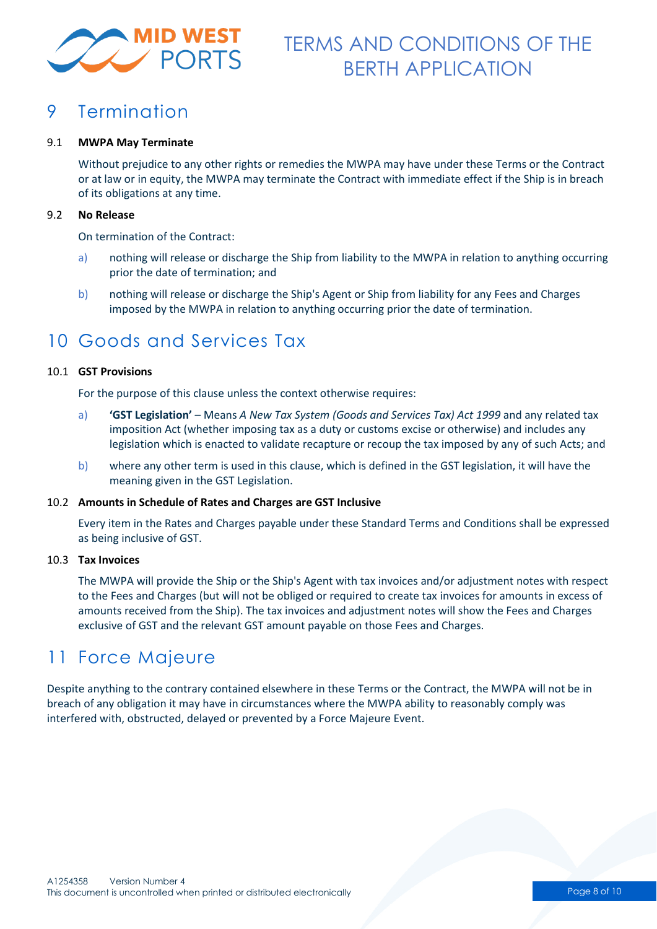

### 9 Termination

### 9.1 **MWPA May Terminate**

Without prejudice to any other rights or remedies the MWPA may have under these Terms or the Contract or at law or in equity, the MWPA may terminate the Contract with immediate effect if the Ship is in breach of its obligations at any time.

### 9.2 **No Release**

On termination of the Contract:

- a) nothing will release or discharge the Ship from liability to the MWPA in relation to anything occurring prior the date of termination; and
- b) nothing will release or discharge the Ship's Agent or Ship from liability for any Fees and Charges imposed by the MWPA in relation to anything occurring prior the date of termination.

### 10 Goods and Services Tax

### 10.1 **GST Provisions**

For the purpose of this clause unless the context otherwise requires:

- a) **'GST Legislation'** Means *A New Tax System (Goods and Services Tax) Act 1999* and any related tax imposition Act (whether imposing tax as a duty or customs excise or otherwise) and includes any legislation which is enacted to validate recapture or recoup the tax imposed by any of such Acts; and
- b) where any other term is used in this clause, which is defined in the GST legislation, it will have the meaning given in the GST Legislation.

### 10.2 **Amounts in Schedule of Rates and Charges are GST Inclusive**

Every item in the Rates and Charges payable under these Standard Terms and Conditions shall be expressed as being inclusive of GST.

#### 10.3 **Tax Invoices**

The MWPA will provide the Ship or the Ship's Agent with tax invoices and/or adjustment notes with respect to the Fees and Charges (but will not be obliged or required to create tax invoices for amounts in excess of amounts received from the Ship). The tax invoices and adjustment notes will show the Fees and Charges exclusive of GST and the relevant GST amount payable on those Fees and Charges.

### 11 Force Majeure

Despite anything to the contrary contained elsewhere in these Terms or the Contract, the MWPA will not be in breach of any obligation it may have in circumstances where the MWPA ability to reasonably comply was interfered with, obstructed, delayed or prevented by a Force Majeure Event.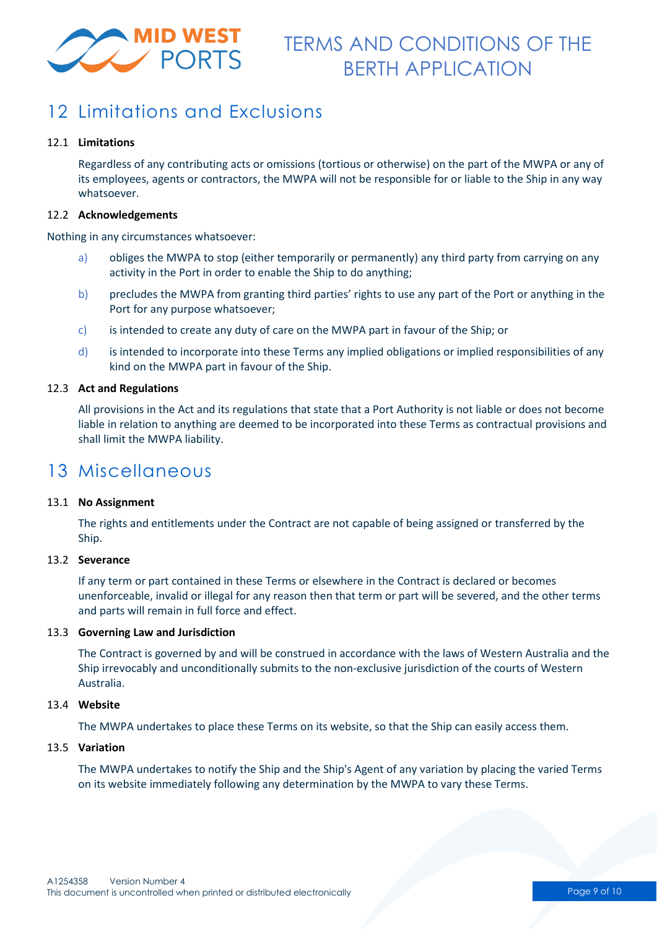

## 12 Limitations and Exclusions

### 12.1 **Limitations**

Regardless of any contributing acts or omissions (tortious or otherwise) on the part of the MWPA or any of its employees, agents or contractors, the MWPA will not be responsible for or liable to the Ship in any way whatsoever.

#### 12.2 **Acknowledgements**

Nothing in any circumstances whatsoever:

- a) obliges the MWPA to stop (either temporarily or permanently) any third party from carrying on any activity in the Port in order to enable the Ship to do anything;
- b) precludes the MWPA from granting third parties' rights to use any part of the Port or anything in the Port for any purpose whatsoever;
- c) is intended to create any duty of care on the MWPA part in favour of the Ship; or
- d) is intended to incorporate into these Terms any implied obligations or implied responsibilities of any kind on the MWPA part in favour of the Ship.

### 12.3 **Act and Regulations**

All provisions in the Act and its regulations that state that a Port Authority is not liable or does not become liable in relation to anything are deemed to be incorporated into these Terms as contractual provisions and shall limit the MWPA liability.

### 13 Miscellaneous

### 13.1 **No Assignment**

The rights and entitlements under the Contract are not capable of being assigned or transferred by the Ship.

### 13.2 **Severance**

If any term or part contained in these Terms or elsewhere in the Contract is declared or becomes unenforceable, invalid or illegal for any reason then that term or part will be severed, and the other terms and parts will remain in full force and effect.

### 13.3 **Governing Law and Jurisdiction**

The Contract is governed by and will be construed in accordance with the laws of Western Australia and the Ship irrevocably and unconditionally submits to the non-exclusive jurisdiction of the courts of Western Australia.

### 13.4 **Website**

The MWPA undertakes to place these Terms on its website, so that the Ship can easily access them.

### 13.5 **Variation**

The MWPA undertakes to notify the Ship and the Ship's Agent of any variation by placing the varied Terms on its website immediately following any determination by the MWPA to vary these Terms.